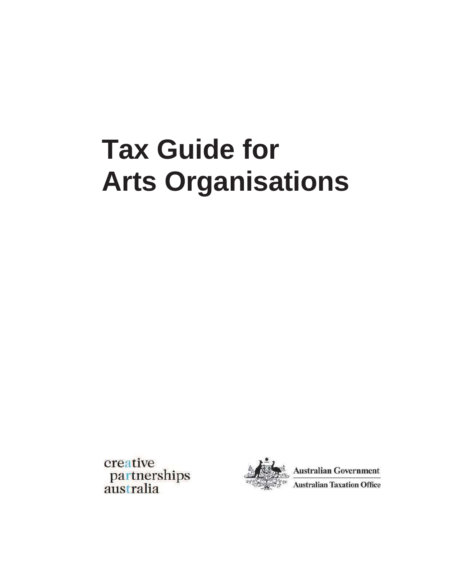# **Tax Guide for Arts Organisations**

creative<br>partnerships<br>australia



**Australian Government Australian Taxation Office**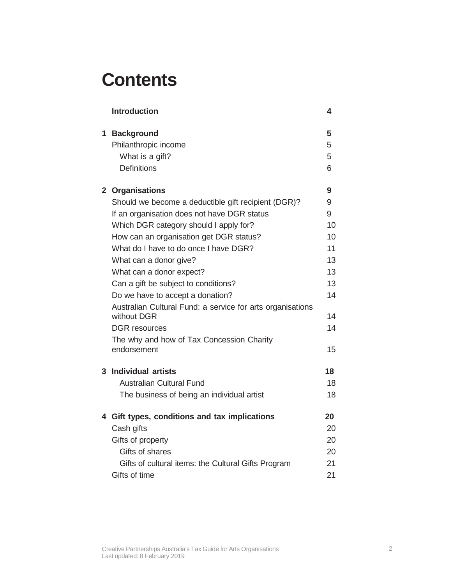## **Contents**

| <b>Introduction</b>                                                       | 4  |
|---------------------------------------------------------------------------|----|
| 1 Background                                                              | 5  |
| Philanthropic income                                                      | 5  |
| What is a gift?                                                           | 5  |
| <b>Definitions</b>                                                        | 6  |
| 2 Organisations                                                           | 9  |
| Should we become a deductible gift recipient (DGR)?                       | 9  |
| If an organisation does not have DGR status                               | 9  |
| Which DGR category should I apply for?                                    | 10 |
| How can an organisation get DGR status?                                   | 10 |
| What do I have to do once I have DGR?                                     | 11 |
| What can a donor give?                                                    | 13 |
| What can a donor expect?                                                  | 13 |
| Can a gift be subject to conditions?                                      | 13 |
| Do we have to accept a donation?                                          | 14 |
| Australian Cultural Fund: a service for arts organisations<br>without DGR | 14 |
| <b>DGR</b> resources                                                      | 14 |
| The why and how of Tax Concession Charity                                 |    |
| endorsement                                                               | 15 |
| 3 Individual artists                                                      | 18 |
| <b>Australian Cultural Fund</b>                                           | 18 |
| The business of being an individual artist                                | 18 |
| 4 Gift types, conditions and tax implications                             | 20 |
| Cash gifts                                                                | 20 |
| Gifts of property                                                         | 20 |
| Gifts of shares                                                           | 20 |
| Gifts of cultural items: the Cultural Gifts Program                       | 21 |
| Gifts of time                                                             | 21 |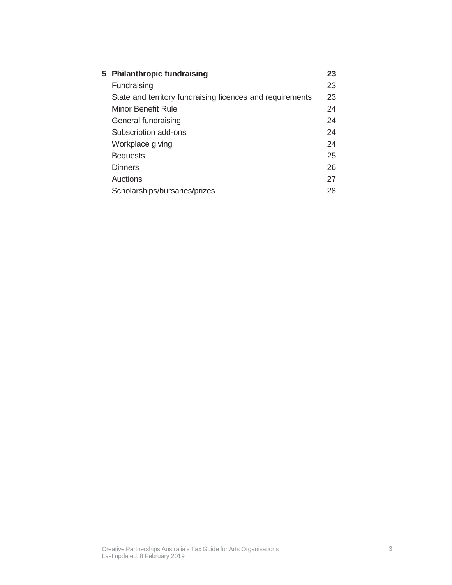| 5 Philanthropic fundraising                               | 23 |
|-----------------------------------------------------------|----|
| Fundraising                                               | 23 |
| State and territory fundraising licences and requirements | 23 |
| Minor Benefit Rule                                        | 24 |
| General fundraising                                       | 24 |
| Subscription add-ons                                      | 24 |
| Workplace giving                                          | 24 |
| <b>Bequests</b>                                           | 25 |
| <b>Dinners</b>                                            | 26 |
| Auctions                                                  | 27 |
| Scholarships/bursaries/prizes                             | 28 |
|                                                           |    |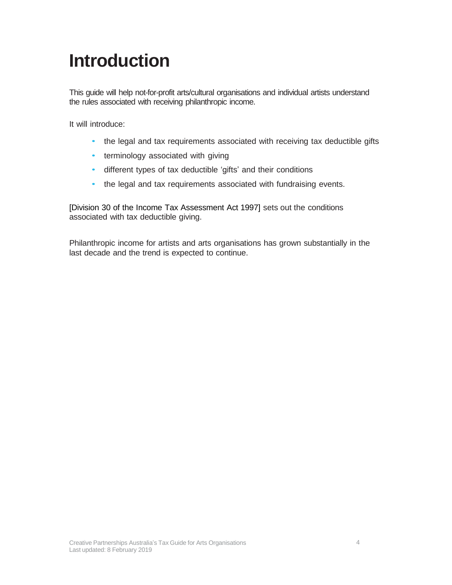## <span id="page-3-0"></span>**Introduction**

This guide will help not-for-profit arts/cultural organisations and individual artists understand the rules associated with receiving philanthropic income.

It will introduce:

- the legal and tax requirements associated with receiving tax deductible gifts
- terminology associated with giving
- different types of tax deductible 'gifts' and their conditions
- the legal and tax requirements associated with fundraising events.

[Division 30 of the Income Tax Assessment Act 1997] sets out the conditions associated with tax deductible giving.

Philanthropic income for artists and arts organisations has grown substantially in the last decade and the trend is expected to continue.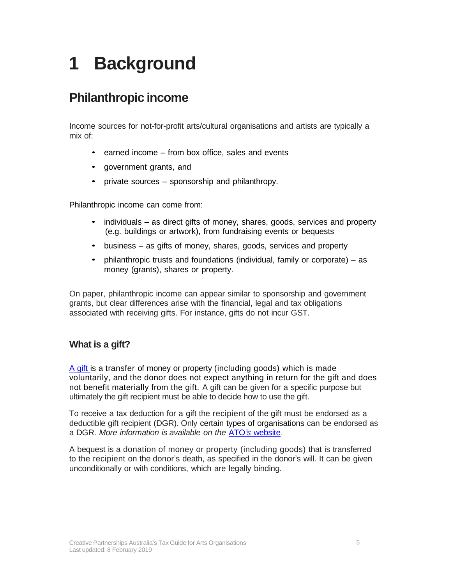## <span id="page-4-0"></span>**1 Background**

## <span id="page-4-1"></span>**Philanthropic income**

Income sources for not-for-profit arts/cultural organisations and artists are typically a mix of:

- earned income from box office, sales and events
- government grants, and
- private sources sponsorship and philanthropy.

Philanthropic income can come from:

- individuals as direct gifts of money, shares, goods, services and property (e.g. buildings or artwork), from fundraising events or bequests
- business as gifts of money, shares, goods, services and property
- philanthropic trusts and foundations (individual, family or corporate) as money (grants), shares or property.

On paper, philanthropic income can appear similar to sponsorship and government grants, but clear differences arise with the financial, legal and tax obligations associated with receiving gifts. For instance, gifts do not incur GST.

#### <span id="page-4-2"></span>**What is a gift?**

A gift is a transfer of money or property (including goods) which is made voluntarily, and the donor does not expect anything in return for the gift and does not benefit materially from the gift. A gift can be given for a specific purpose but ultimately the gift recipient must be able to decide how to use the gift.

To receive a tax deduction for a gift the recipient of the gift must be endorsed as a deductible gift recipient (DGR). Only certain types of organisations can be endorsed as a DGR. *More information is available on the* ATO*'s* [website](https://www.ato.gov.au/)*.*

A bequest is a donation of money or property (including goods) that is transferred to the recipient on the donor's death, as specified in the donor's will. It can be given unconditionally or with conditions, which are legally binding.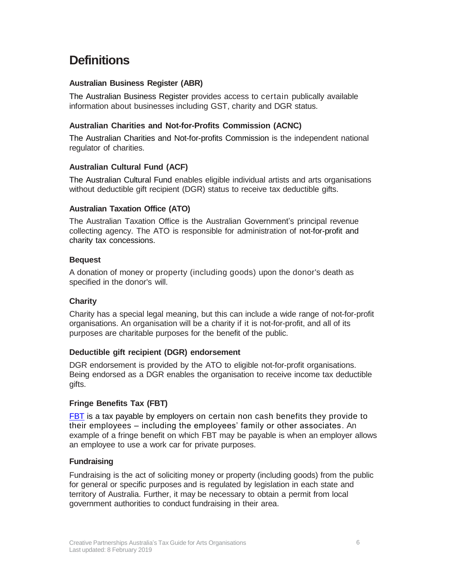## <span id="page-5-0"></span>**Definitions**

#### **Australian Business Register (ABR)**

The Australian Business Register provides access to certain publically available information about businesses including GST, charity and DGR status.

#### **Australian Charities and Not-for-Profits Commission (ACNC)**

The Australian Charities and Not-for-profits Commission is the independent national regulator of charities.

#### **Australian Cultural Fund (ACF)**

The Australian Cultural Fund enables eligible individual artists and arts organisations without deductible gift recipient (DGR) status to receive tax deductible gifts.

#### **Australian Taxation Office (ATO)**

The Australian Taxation Office is the Australian Government's principal revenue collecting agency. The ATO is responsible for administration of not-for-profit and charity tax concessions.

#### **Bequest**

A donation of money or property (including goods) upon the donor's death as specified in the donor's will.

#### **Charity**

Charity has a special legal meaning, but this can include a wide range of not-for-profit organisations. An organisation will be a charity if it is not-for-profit, and all of its purposes are charitable purposes for the benefit of the public.

#### **Deductible gift recipient (DGR) endorsement**

DGR endorsement is provided by the ATO to eligible not-for-profit organisations. Being endorsed as a DGR enables the organisation to receive income tax deductible gifts.

#### **Fringe Benefits Tax (FBT)**

FBT is a tax payable by employers on certain non cash [benefits they provide to](https://www.ato.gov.au/general/fringe-benefits-tax-(fbt)/?=redirected)  their employees – [including the employees' family or other associates.](https://www.ato.gov.au/general/fringe-benefits-tax-(fbt)/?=redirected) An example of a fringe benefit on which FBT may be payable is when an employer allows an employee to use a work car for private purposes.

#### **Fundraising**

Fundraising is the act of soliciting money or property (including goods) from the public for general or specific purposes and is regulated by legislation in each state and territory of Australia. Further, it may be necessary to obtain a permit from local government authorities to conduct fundraising in their area.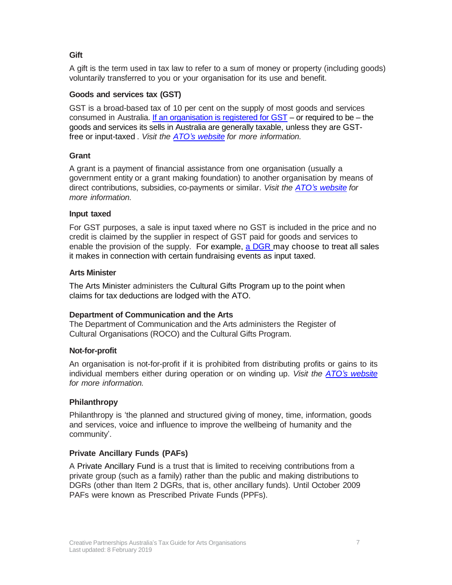#### **Gift**

A gift is the term used in tax law to refer to a sum of money or property (including goods) voluntarily transferred to you or your organisation for its use and benefit.

#### **Goods and services tax (GST)**

GST is a broad-based tax of 10 per cent on the supply of most goods and services consumed in Australia. If an organisation is registered for  $\text{GST}$  – or required to be – the [goods and services its sells in Australia are generally taxable, unless they are GST](https://www.ato.gov.au/business/gst/when-to-charge-gst-(and-when-not-to)/taxable-sales/)[free or input-taxed](https://www.ato.gov.au/business/gst/when-to-charge-gst-(and-when-not-to)/taxable-sales/) . *Visit the ATO's [website](https://www.ato.gov.au/) for more information.*

#### **Grant**

A grant is a payment of financial assistance from one organisation (usually a government entity or a grant making foundation) to another organisation by means of direct contributions, subsidies, co-payments or similar. *Visit the ATO's [website](https://www.ato.gov.au/) for more information.*

#### **Input taxed**

For GST purposes, a sale is input taxed where no GST is included in the price and no credit is claimed by the supplier in respect of GST paid for goods and services to enable the provision of the supply. For example, a DGR [may choose](https://www.ato.gov.au/non-profit/your-organisation/gst/gst-concessions/?anchor=noncommercialactivities) to treat all sales [it makes in connection with certain fundraising events as input](https://www.ato.gov.au/non-profit/your-organisation/gst/gst-concessions/?anchor=noncommercialactivities) taxed.

#### **Arts Minister**

The Arts Minister administers the Cultural Gifts Program up to the point when claims for tax deductions are lodged with the ATO.

#### **Department of Communication and the Arts**

The Department of Communication and the Arts administers the Register of Cultural Organisations (ROCO) and the Cultural Gifts Program.

#### **Not-for-profit**

An organisation is not-for-profit if it is prohibited from distributing profits or gains to its individual members either during operation or on winding up. *Visit the ATO's [website](https://www.ato.gov.au/) for more information.*

#### **Philanthropy**

Philanthropy is 'the planned and structured giving of money, time, information, goods and services, voice and influence to improve the wellbeing of humanity and the community'.

#### **Private Ancillary Funds (PAFs)**

A Private Ancillary Fund is a trust that is limited to receiving contributions from a private group (such as a family) rather than the public and making distributions to DGRs (other than Item 2 DGRs, that is, other ancillary funds). Until October 2009 PAFs were known as Prescribed Private Funds (PPFs).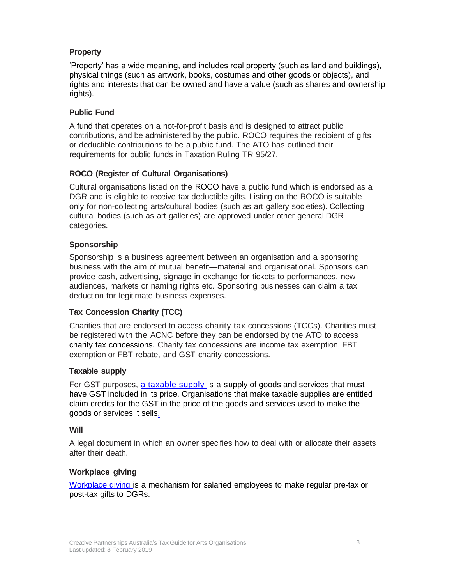#### **Property**

'Property' has a wide meaning, and includes real property (such as land and buildings), physical things (such as artwork, books, costumes and other goods or objects), and rights and interests that can be owned and have a value (such as shares and ownership rights).

#### **Public Fund**

A fund that operates on a not-for-profit basis and is designed to attract public contributions, and be administered by the public. ROCO requires the recipient of gifts or deductible contributions to be a public fund. The ATO has outlined their requirements for public funds in Taxation Ruling TR 95/27.

#### **ROCO (Register of Cultural Organisations)**

Cultural organisations listed on the ROCO have a public fund which is endorsed as a DGR and is eligible to receive tax deductible gifts. Listing on the ROCO is suitable only for non-collecting arts/cultural bodies (such as art gallery societies). Collecting cultural bodies (such as art galleries) are approved under other general DGR categories.

#### **Sponsorship**

Sponsorship is a business agreement between an organisation and a sponsoring business with the aim of mutual benefit—material and organisational. Sponsors can provide cash, advertising, signage in exchange for tickets to performances, new audiences, markets or naming rights etc. Sponsoring businesses can claim a tax deduction for legitimate business expenses.

#### **Tax Concession Charity (TCC)**

Charities that are endorsed to access charity tax concessions (TCCs). Charities must be registered with the ACNC before they can be endorsed by the ATO to access charity tax concessions. Charity tax concessions are income tax exemption, FBT exemption or FBT rebate, and GST charity concessions.

#### **Taxable supply**

For GST purposes, [a taxable supply is a supply of goods and services that must](https://www.ato.gov.au/business/gst/in-detail/definitions/?)  have GST included in its price. Organisations [that make taxable supplies are entitled](https://www.ato.gov.au/business/gst/in-detail/definitions/?)  [claim credits for the GST in the price of the goods and services used to make the](https://www.ato.gov.au/business/gst/in-detail/definitions/?)  [goods or services it sells.](https://www.ato.gov.au/business/gst/in-detail/definitions/?)

#### **Will**

A legal document in which an owner specifies how to deal with or allocate their assets after their death.

#### **Workplace giving**

Workplace giving is a [mechanism](https://www.ato.gov.au/non-profit/gifts-and-fundraising/workplace-and-business-support/workplace-giving-and-salary-sacrifice-arrangements/) for salaried employees to make regular pre-tax or [post-tax](https://www.ato.gov.au/non-profit/gifts-and-fundraising/workplace-and-business-support/workplace-giving-and-salary-sacrifice-arrangements/) gifts to DGRs.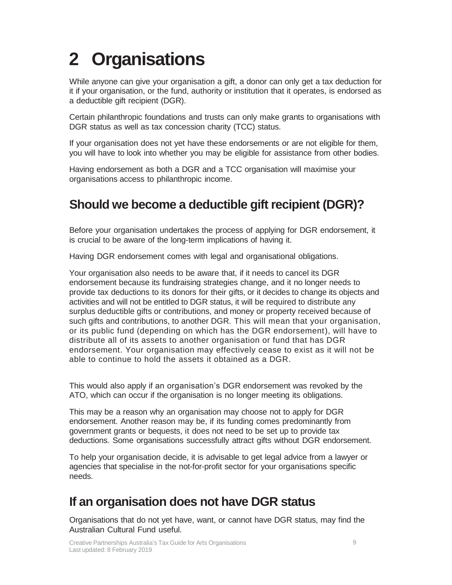## <span id="page-8-0"></span>**2 Organisations**

While anyone can give your organisation a gift, a donor can only get a tax deduction for it if your organisation, or the fund, authority or institution that it operates, is endorsed as a deductible gift recipient (DGR).

Certain philanthropic foundations and trusts can only make grants to organisations with DGR status as well as tax concession charity (TCC) status.

If your organisation does not yet have these endorsements or are not eligible for them, you will have to look into whether you may be eligible for assistance from other bodies.

Having endorsement as both a DGR and a TCC organisation will maximise your organisations access to philanthropic income.

## <span id="page-8-1"></span>**Should we become a deductible gift recipient (DGR)?**

Before your organisation undertakes the process of applying for DGR endorsement, it is crucial to be aware of the long-term implications of having it.

Having DGR endorsement comes with legal and organisational obligations.

Your organisation also needs to be aware that, if it needs to cancel its DGR endorsement because its fundraising strategies change, and it no longer needs to provide tax deductions to its donors for their gifts, or it decides to change its objects and activities and will not be entitled to DGR status, it will be required to distribute any surplus deductible gifts or contributions, and money or property received because of such gifts and contributions, to another DGR. This will mean that your organisation, or its public fund (depending on which has the DGR endorsement), will have to distribute all of its assets to another organisation or fund that has DGR endorsement. Your organisation may effectively cease to exist as it will not be able to continue to hold the assets it obtained as a DGR.

This would also apply if an organisation's DGR endorsement was revoked by the ATO, which can occur if the organisation is no longer meeting its obligations.

This may be a reason why an organisation may choose not to apply for DGR endorsement. Another reason may be, if its funding comes predominantly from government grants or bequests, it does not need to be set up to provide tax deductions. Some organisations successfully attract gifts without DGR endorsement.

To help your organisation decide, it is advisable to get legal advice from a lawyer or agencies that specialise in the not-for-profit sector for your organisations specific needs.

## <span id="page-8-2"></span>**If an organisation does not have DGR status**

Organisations that do not yet have, want, or cannot have DGR status, may find the Australian Cultural Fund useful.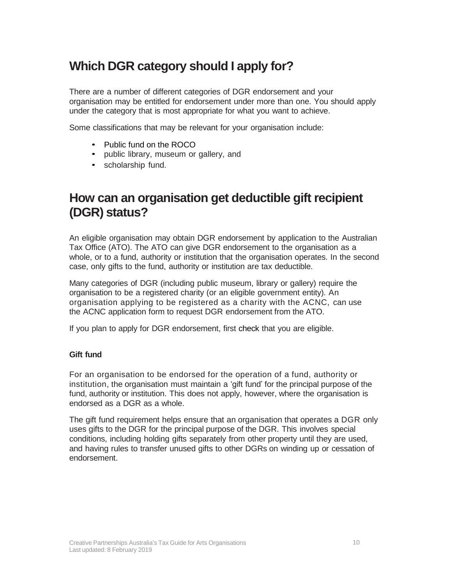## <span id="page-9-0"></span>**Which DGR category should I apply for?**

There are a number of different categories of DGR endorsement and your organisation may be entitled for endorsement under more than one. You should apply under the category that is most appropriate for what you want to achieve.

Some classifications that may be relevant for your organisation include:

- Public fund on the ROCO
- public library, museum or gallery, and
- scholarship fund.

### **How can an organisation get deductible gift recipient (DGR) status?**

An eligible organisation may obtain DGR endorsement by application to the Australian Tax Office (ATO). The ATO can give DGR endorsement to the organisation as a whole, or to a fund, authority or institution that the organisation operates. In the second case, only gifts to the fund, authority or institution are tax deductible.

Many categories of DGR (including public museum, library or gallery) require the organisation to be a registered charity (or an eligible government entity). An organisation applying to be registered as a charity with the ACNC, can use the ACNC application form to request DGR endorsement from the ATO.

If you plan to apply for DGR endorsement, first check that you are eligible.

#### **Gift fund**

For an organisation to be endorsed for the operation of a fund, authority or institution, the organisation must maintain a 'gift fund' for the principal purpose of the fund, authority or institution. This does not apply, however, where the organisation is endorsed as a DGR as a whole.

The gift fund requirement helps ensure that an organisation that operates a DGR only uses gifts to the DGR for the principal purpose of the DGR. This involves special conditions, including holding gifts separately from other property until they are used, and having rules to transfer unused gifts to other DGRs on winding up or cessation of endorsement.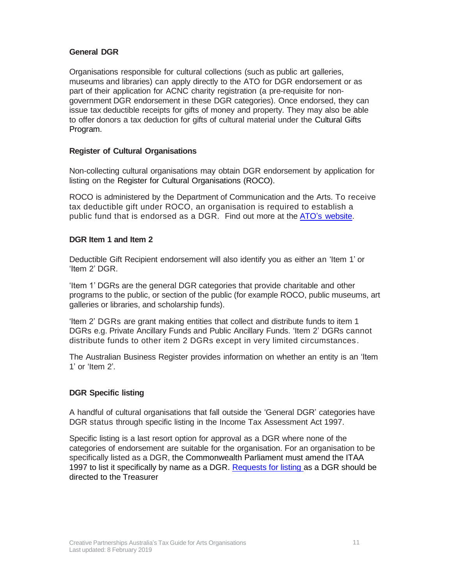#### **General DGR**

Organisations responsible for cultural collections (such as public art galleries, museums and libraries) can apply directly to the ATO for DGR endorsement or as part of their application for ACNC charity registration (a pre-requisite for nongovernment DGR endorsement in these DGR categories). Once endorsed, they can issue tax deductible receipts for gifts of money and property. They may also be able to offer donors a tax deduction for gifts of cultural material under the Cultural Gifts Program.

#### **Register of Cultural Organisations**

Non-collecting cultural organisations may obtain DGR endorsement by application for listing on the Register for Cultural Organisations (ROCO).

ROCO is administered by the Department of Communication and the Arts. To receive tax deductible gift under ROCO, an organisation is required to establish a public fund that is endorsed as a DGR. Find out more at the ATO's [website.](https://www.ato.gov.au/)

#### **DGR Item 1 and Item 2**

Deductible Gift Recipient endorsement will also identify you as either an 'Item 1' or 'Item 2' DGR.

'Item 1' DGRs are the general DGR categories that provide charitable and other programs to the public, or section of the public (for example ROCO, public museums, art galleries or libraries, and scholarship funds).

'Item 2' DGRs are grant making entities that collect and distribute funds to item 1 DGRs e.g. Private Ancillary Funds and Public Ancillary Funds. 'Item 2' DGRs cannot distribute funds to other item 2 DGRs except in very limited circumstances.

The Australian Business Register provides information on whether an entity is an 'Item 1' or 'Item 2'.

#### **DGR Specific listing**

A handful of cultural organisations that fall outside the 'General DGR' categories have DGR status through specific listing in the Income Tax Assessment Act 1997.

<span id="page-10-0"></span>Specific listing is a last resort option for approval as a DGR where none of the categories of endorsement are suitable for the organisation. For an organisation to be specifically listed as a DGR, the Commonwealth Parliament must amend the ITAA 1997 to list it specifically by name as a DGR. [Requests for listing as a DGR should be](https://www.ato.gov.au/non-profit/getting-started/getting-endorsed/is-my-organisation-eligible-for-dgr-endorsement-/types-of-dgrs/)  [directed to the Treasurer](https://www.ato.gov.au/non-profit/getting-started/getting-endorsed/is-my-organisation-eligible-for-dgr-endorsement-/types-of-dgrs/)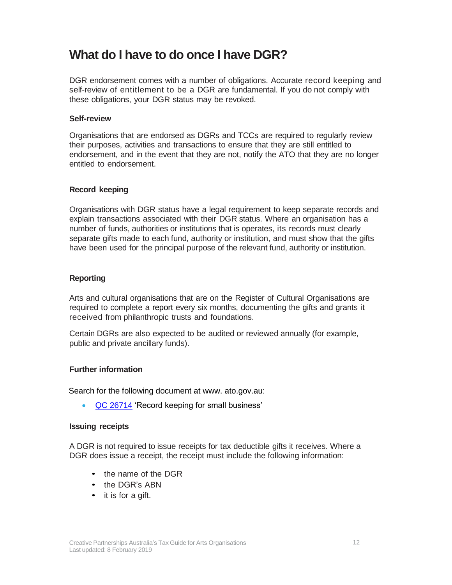## **What do I have to do once I have DGR?**

DGR endorsement comes with a number of obligations. Accurate record keeping and self-review of entitlement to be a DGR are fundamental. If you do not comply with these obligations, your DGR status may be revoked.

#### **Self-review**

Organisations that are endorsed as DGRs and TCCs are required to regularly review their purposes, activities and transactions to ensure that they are still entitled to endorsement, and in the event that they are not, notify the ATO that they are no longer entitled to endorsement.

#### **Record keeping**

Organisations with DGR status have a legal requirement to keep separate records and explain transactions associated with their DGR status. Where an organisation has a number of funds, authorities or institutions that is operates, its records must clearly separate gifts made to each fund, authority or institution, and must show that the gifts have been used for the principal purpose of the relevant fund, authority or institution.

#### **Reporting**

Arts and cultural organisations that are on the Register of Cultural Organisations are required to complete a report every six months, documenting the gifts and grants it received from philanthropic trusts and foundations.

Certain DGRs are also expected to be audited or reviewed annually (for example, public and private ancillary funds).

#### **Further information**

Search for the following document at www. ato.gov.au:

• [QC 26714](https://www.ato.gov.au/non-profit/your-organisation/records,-reporting-and-paying-tax/record-keeping/) 'Record keeping for small business'

#### **Issuing receipts**

A DGR is not required to issue receipts for tax deductible gifts it receives. Where a DGR does issue a receipt, the receipt must include the following information:

- the name of the DGR
- the DGR's ABN
- it is for a gift.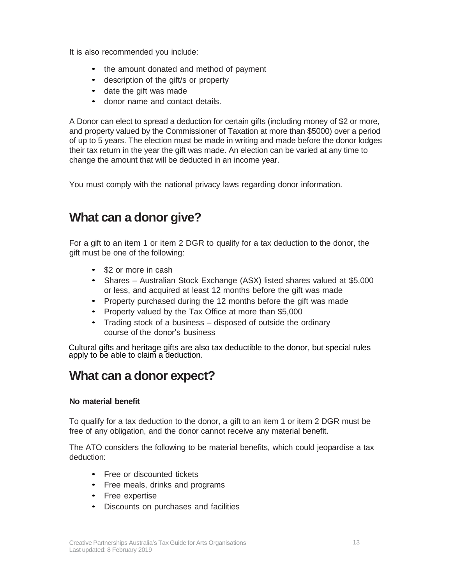It is also recommended you include:

- the amount donated and method of payment
- description of the gift/s or property
- date the gift was made
- donor name and contact details.

A Donor can elect to spread a deduction for certain gifts (including money of \$2 or more, and property valued by the Commissioner of Taxation at more than \$5000) over a period of up to 5 years. The election must be made in writing and made before the donor lodges their tax return in the year the gift was made. An election can be varied at any time to change the amount that will be deducted in an income year.

You must comply with the national privacy laws regarding donor information.

## <span id="page-12-0"></span>**What can a donor give?**

For a gift to an item 1 or item 2 DGR to qualify for a tax deduction to the donor, the gift must be one of the following:

- \$2 or more in cash
- Shares Australian Stock Exchange (ASX) listed shares valued at \$5,000 or less, and acquired at least 12 months before the gift was made
- Property purchased during the 12 months before the gift was made
- Property valued by the Tax Office at more than \$5,000
- Trading stock of a business disposed of outside the ordinary course of the donor's business

Cultural gifts and heritage gifts are also tax deductible to the donor, but special rules apply to be able to claim a deduction.

## <span id="page-12-1"></span>**What can a donor expect?**

#### **No material benefit**

To qualify for a tax deduction to the donor, a gift to an item 1 or item 2 DGR must be free of any obligation, and the donor cannot receive any material benefit.

The ATO considers the following to be material benefits, which could jeopardise a tax deduction:

- Free or discounted tickets
- Free meals, drinks and programs
- Free expertise
- Discounts on purchases and facilities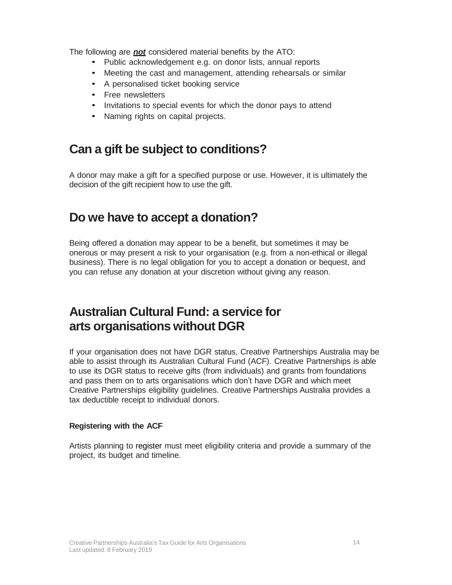The following are *not* considered material benefits by the ATO:

- Public acknowledgement e.g. on donor lists, annual reports
- Meeting the cast and management, attending rehearsals or similar
- A personalised ticket booking service
- Free newsletters
- Invitations to special events for which the donor pays to attend
- Naming rights on capital projects.

## <span id="page-13-0"></span>**Can a gift be subject to conditions?**

A donor may make a gift for a specified purpose or use. However, it is ultimately the decision of the gift recipient how to use the gift.

## <span id="page-13-1"></span>**Do we have to accept a donation?**

Being offered a donation may appear to be a benefit, but sometimes it may be onerous or may present a risk to your organisation (e.g. from a non-ethical or illegal business). There is no legal obligation for you to accept a donation or bequest, and you can refuse any donation at your discretion without giving any reason.

## <span id="page-13-2"></span>**Australian Cultural Fund: a service for arts organisations without DGR**

If your organisation does not have DGR status, Creative Partnerships Australia may be able to assist through its Australian Cultural Fund (ACF). Creative Partnerships is able to use its DGR status to receive gifts (from individuals) and grants from foundations and pass them on to arts organisations which don't have DGR and which meet Creative Partnerships eligibility guidelines. Creative Partnerships Australia provides a tax deductible receipt to individual donors.

#### **Registering with the ACF**

Artists planning to register must meet eligibility criteria and provide a summary of the project, its budget and timeline.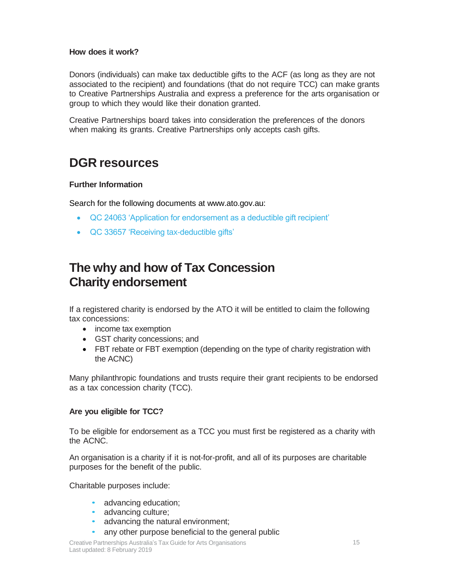#### **How does it work?**

Donors (individuals) can make tax deductible gifts to the ACF (as long as they are not associated to the recipient) and foundations (that do not require TCC) can make grants to Creative Partnerships Australia and express a preference for the arts organisation or group to which they would like their donation granted.

Creative Partnerships board takes into consideration the preferences of the donors when making its grants. Creative Partnerships only accepts cash gifts.

### <span id="page-14-0"></span>**DGR resources**

#### **Further Information**

Search for the following documents at www.ato.gov.au:

- QC 24063 'Application for endorsement as a deductible gift recipient'
- QC 33657 'Receiving tax-deductible gifts'

## **The why and how of Tax Concession Charity endorsement**

If a registered charity is endorsed by the ATO it will be entitled to claim the following tax concessions:

- income tax exemption
- GST charity concessions; and
- FBT rebate or FBT exemption (depending on the type of charity registration with the ACNC)

Many philanthropic foundations and trusts require their grant recipients to be endorsed as a tax concession charity (TCC).

#### **Are you eligible for TCC?**

To be eligible for endorsement as a TCC you must first be registered as a charity with the ACNC.

An organisation is a charity if it is not-for-profit, and all of its purposes are charitable purposes for the benefit of the public.

Charitable purposes include:

- advancing education;
- advancing culture;
- advancing the natural environment;
- any other purpose beneficial to the general public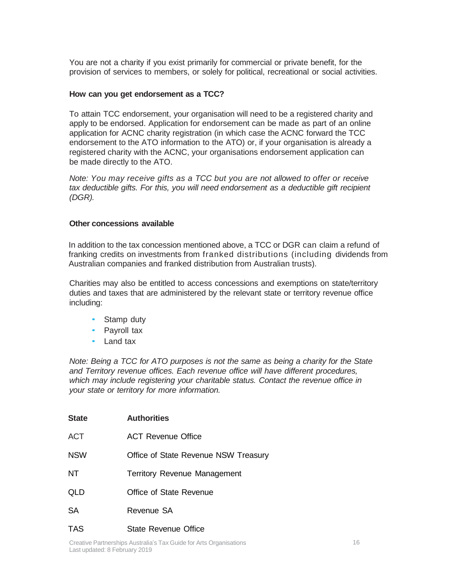You are not a charity if you exist primarily for commercial or private benefit, for the provision of services to members, or solely for political, recreational or social activities.

#### **How can you get endorsement as a TCC?**

To attain TCC endorsement, your organisation will need to be a registered charity and apply to be endorsed. Application for endorsement can be made as part of an online application for ACNC charity registration (in which case the ACNC forward the TCC endorsement to the ATO information to the ATO) or, if your organisation is already a registered charity with the ACNC, your organisations endorsement application can be made directly to the ATO.

*Note: You may receive gifts as a TCC but you are not allowed to offer or receive tax deductible gifts. For this, you will need endorsement as a deductible gift recipient (DGR).*

#### **Other concessions available**

In addition to the tax concession mentioned above, a TCC or DGR can claim a refund of franking credits on investments from franked distributions (including dividends from Australian companies and franked distribution from Australian trusts).

Charities may also be entitled to access concessions and exemptions on state/territory duties and taxes that are administered by the relevant state or territory revenue office including:

- Stamp duty
- Payroll tax
- Land tax

*Note: Being a TCC for ATO purposes is not the same as being a charity for the State and Territory revenue offices. Each revenue office will have different procedures, which may include registering your charitable status. Contact the revenue office in your state or territory for more information.*

| <b>State</b> | <b>Authorities</b>                   |
|--------------|--------------------------------------|
| <b>ACT</b>   | ACT Revenue Office                   |
| <b>NSW</b>   | Office of State Revenue NSW Treasury |
| <b>NT</b>    | <b>Territory Revenue Management</b>  |
| QLD          | Office of State Revenue              |
| <b>SA</b>    | Revenue SA                           |
| TAS          | State Revenue Office                 |

Creative Partnerships Australia's Tax Guide for Arts Organisations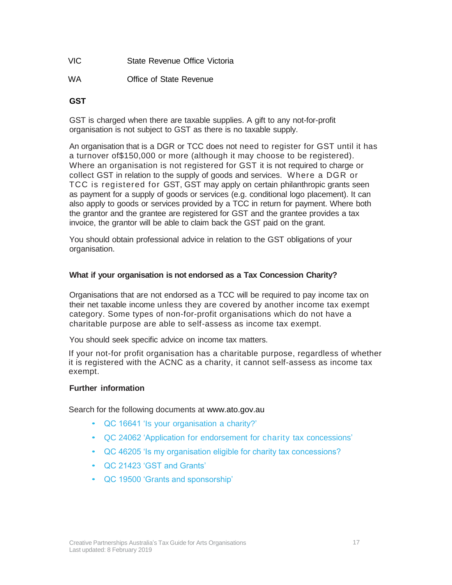- VIC State Revenue Office Victoria
- WA **Office of State Revenue**

#### **GST**

GST is charged when there are taxable supplies. A gift to any not-for-profit organisation is not subject to GST as there is no taxable supply.

An organisation that is a DGR or TCC does not need to register for GST until it has a turnover of\$150,000 or more (although it may choose to be registered). Where an organisation is not registered for GST it is not required to charge or collect GST in relation to the supply of goods and services. Where a DGR or TCC is registered for GST, GST may apply on certain philanthropic grants seen as payment for a supply of goods or services (e.g. conditional logo placement). It can also apply to goods or services provided by a TCC in return for payment. Where both the grantor and the grantee are registered for GST and the grantee provides a tax invoice, the grantor will be able to claim back the GST paid on the grant.

You should obtain professional advice in relation to the GST obligations of your organisation.

#### **What if your organisation is not endorsed as a Tax Concession Charity?**

Organisations that are not endorsed as a TCC will be required to pay income tax on their net taxable income unless they are covered by another income tax exempt category. Some types of non-for-profit organisations which do not have a charitable purpose are able to self-assess as income tax exempt.

You should seek specific advice on income tax matters.

If your not-for profit organisation has a charitable purpose, regardless of whether it is registered with the ACNC as a charity, it cannot self-assess as income tax exempt.

#### **Further information**

Search for the following documents at www.ato.gov.au

- QC 16641 'Is your organisation a charity?'
- QC 24062 'Application for endorsement for charity tax concessions'
- QC 46205 'Is my organisation eligible for charity tax concessions?
- QC 21423 'GST and Grants'
- QC 19500 'Grants and sponsorship'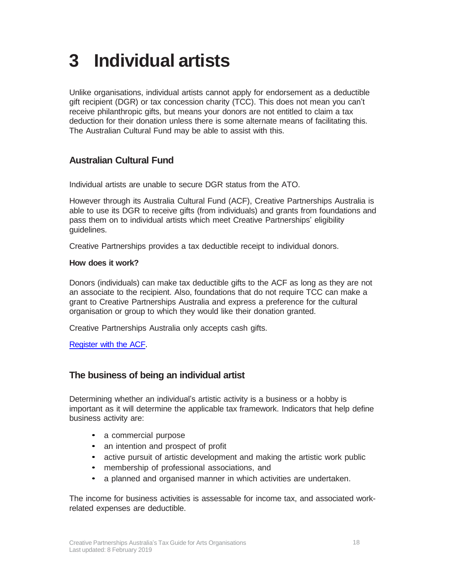## <span id="page-17-0"></span>**3 Individual artists**

Unlike organisations, individual artists cannot apply for endorsement as a deductible gift recipient (DGR) or tax concession charity (TCC). This does not mean you can't receive philanthropic gifts, but means your donors are not entitled to claim a tax deduction for their donation unless there is some alternate means of facilitating this. The Australian Cultural Fund may be able to assist with this.

#### <span id="page-17-1"></span>**Australian Cultural Fund**

Individual artists are unable to secure DGR status from the ATO.

However through its Australia Cultural Fund (ACF), Creative Partnerships Australia is able to use its DGR to receive gifts (from individuals) and grants from foundations and pass them on to individual artists which meet Creative Partnerships' eligibility guidelines.

Creative Partnerships provides a tax deductible receipt to individual donors.

#### **How does it work?**

Donors (individuals) can make tax deductible gifts to the ACF as long as they are not an associate to the recipient. Also, foundations that do not require TCC can make a grant to Creative Partnerships Australia and express a preference for the cultural organisation or group to which they would like their donation granted.

Creative Partnerships Australia only accepts cash gifts.

[Register](https://australianculturalfund.org.au/register-and-create/) with the ACF.

#### <span id="page-17-2"></span>**The business of being an individual artist**

Determining whether an individual's artistic activity is a business or a hobby is important as it will determine the applicable tax framework. Indicators that help define business activity are:

- a commercial purpose
- an intention and prospect of profit
- active pursuit of artistic development and making the artistic work public
- membership of professional associations, and
- a planned and organised manner in which activities are undertaken.

The income for business activities is assessable for income tax, and associated workrelated expenses are deductible.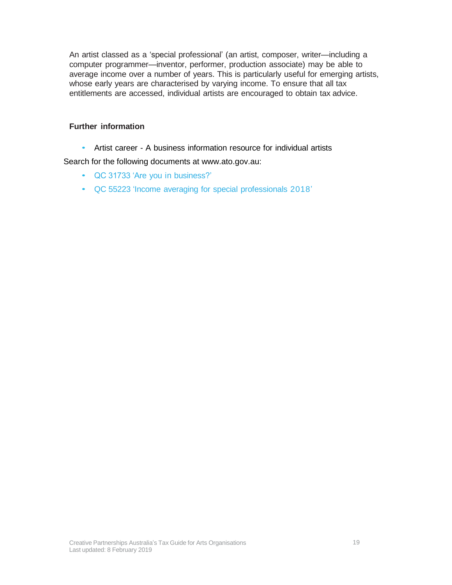An artist classed as a 'special professional' (an artist, composer, writer—including a computer programmer—inventor, performer, production associate) may be able to average income over a number of years. This is particularly useful for emerging artists, whose early years are characterised by varying income. To ensure that all tax entitlements are accessed, individual artists are encouraged to obtain tax advice.

#### **Further information**

• Artist career - A business information resource for individual artists

Search for the following documents at www.ato.gov.au:

- QC 31733 'Are you in business?'
- QC 55223 'Income averaging for special professionals 2018'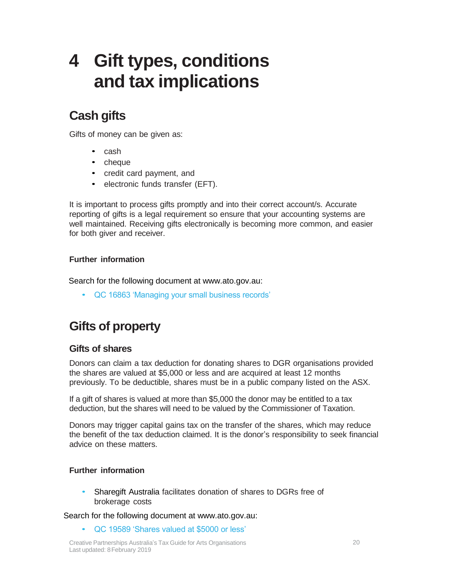## <span id="page-19-0"></span>**4 Gift types, conditions and tax implications**

## <span id="page-19-1"></span>**Cash gifts**

Gifts of money can be given as:

- cash
- cheque
- credit card payment, and
- electronic funds transfer (EFT).

It is important to process gifts promptly and into their correct account/s. Accurate reporting of gifts is a legal requirement so ensure that your accounting systems are well maintained. Receiving gifts electronically is becoming more common, and easier for both giver and receiver.

#### **Further information**

Search for the following document at www.ato.gov.au:

• QC 16863 'Managing your small business records'

## <span id="page-19-2"></span>**Gifts of property**

#### <span id="page-19-3"></span>**Gifts of shares**

Donors can claim a tax deduction for donating shares to DGR organisations provided the shares are valued at \$5,000 or less and are acquired at least 12 months previously. To be deductible, shares must be in a public company listed on the ASX.

If a gift of shares is valued at more than \$5,000 the donor may be entitled to a tax deduction, but the shares will need to be valued by the Commissioner of Taxation.

Donors may trigger capital gains tax on the transfer of the shares, which may reduce the benefit of the tax deduction claimed. It is the donor's responsibility to seek financial advice on these matters.

#### **Further information**

• Sharegift Australia facilitates donation of shares to DGRs free of brokerage costs

Search for the following document at www.ato.gov.au:

• QC 19589 'Shares valued at \$5000 or less'

Creative Partnerships Australia's Tax Guide for Arts Organisations Last updated: 8 February 2019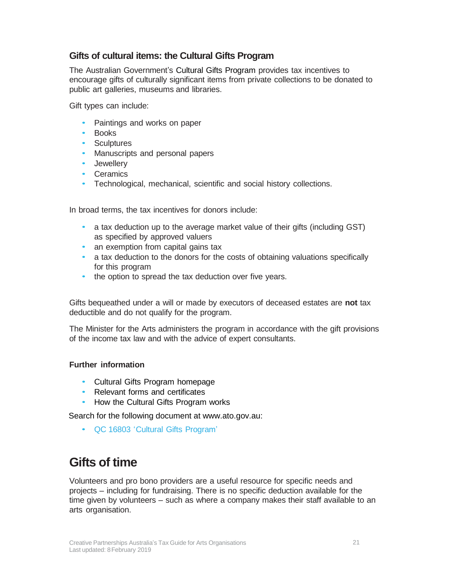#### <span id="page-20-0"></span>**Gifts of cultural items: the Cultural Gifts Program**

The Australian Government's Cultural Gifts Program provides tax incentives to encourage gifts of culturally significant items from private collections to be donated to public art galleries, museums and libraries.

Gift types can include:

- Paintings and works on paper
- **Books**
- Sculptures
- Manuscripts and personal papers
- Jewellery
- Ceramics
- Technological, mechanical, scientific and social history collections.

In broad terms, the tax incentives for donors include:

- a tax deduction up to the average market value of their gifts (including GST) as specified by approved valuers
- an exemption from capital gains tax
- a tax deduction to the donors for the costs of obtaining valuations specifically for this program
- the option to spread the tax deduction over five years.

Gifts bequeathed under a will or made by executors of deceased estates are **not** tax deductible and do not qualify for the program.

The Minister for the Arts administers the program in accordance with the gift provisions of the income tax law and with the advice of expert consultants.

#### **Further information**

- Cultural Gifts Program homepage
- Relevant forms and certificates
- How the Cultural Gifts Program works

Search for the following document at www.ato.gov.au:

• QC 16803 'Cultural Gifts Program'

## <span id="page-20-1"></span>**Gifts of time**

Volunteers and pro bono providers are a useful resource for specific needs and projects – including for fundraising. There is no specific deduction available for the time given by volunteers – such as where a company makes their staff available to an arts organisation.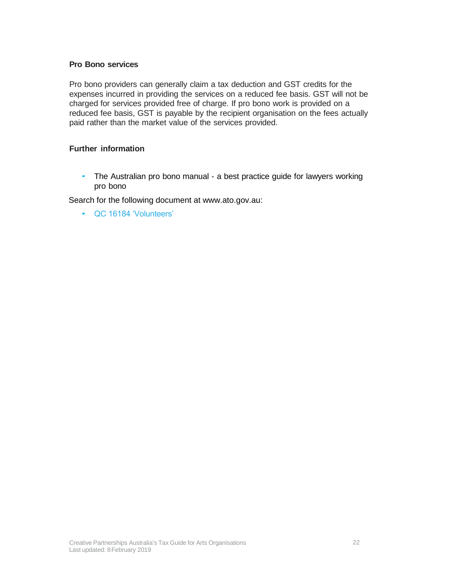#### **Pro Bono services**

Pro bono providers can generally claim a tax deduction and GST credits for the expenses incurred in providing the services on a reduced fee basis. GST will not be charged for services provided free of charge. If pro bono work is provided on a reduced fee basis, GST is payable by the recipient organisation on the fees actually paid rather than the market value of the services provided.

#### **Further information**

• The Australian pro bono manual - a best practice guide for lawyers working pro bono

Search for the following document at www.ato.gov.au:

• QC 16184 'Volunteers'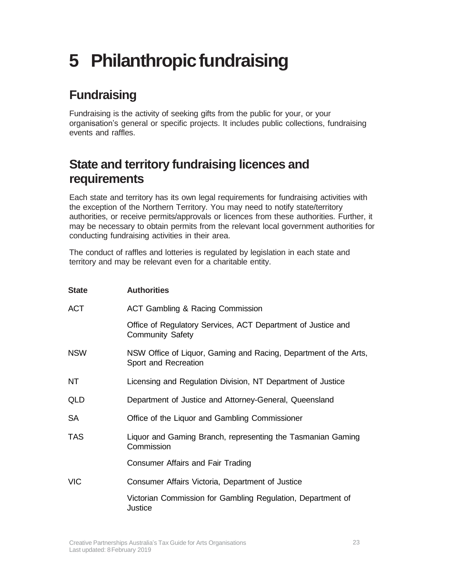## <span id="page-22-0"></span>**5** Philanthropic fundraising

## <span id="page-22-1"></span>**Fundraising**

Fundraising is the activity of seeking gifts from the public for your, or your organisation's general or specific projects. It includes public collections, fundraising events and raffles.

## <span id="page-22-2"></span>**State and territory fundraising licences and requirements**

Each state and territory has its own legal requirements for fundraising activities with the exception of the Northern Territory. You may need to notify state/territory authorities, or receive permits/approvals or licences from these authorities. Further, it may be necessary to obtain permits from the relevant local government authorities for conducting fundraising activities in their area.

The conduct of raffles and lotteries is regulated by legislation in each state and territory and may be relevant even for a charitable entity.

| <b>State</b> | <b>Authorities</b>                                                                       |
|--------------|------------------------------------------------------------------------------------------|
| <b>ACT</b>   | <b>ACT Gambling &amp; Racing Commission</b>                                              |
|              | Office of Regulatory Services, ACT Department of Justice and<br><b>Community Safety</b>  |
| <b>NSW</b>   | NSW Office of Liquor, Gaming and Racing, Department of the Arts,<br>Sport and Recreation |
| NT           | Licensing and Regulation Division, NT Department of Justice                              |
| QLD          | Department of Justice and Attorney-General, Queensland                                   |
| SA           | Office of the Liquor and Gambling Commissioner                                           |
| <b>TAS</b>   | Liquor and Gaming Branch, representing the Tasmanian Gaming<br>Commission                |
|              | Consumer Affairs and Fair Trading                                                        |
| <b>VIC</b>   | Consumer Affairs Victoria, Department of Justice                                         |
|              | Victorian Commission for Gambling Regulation, Department of<br>Justice                   |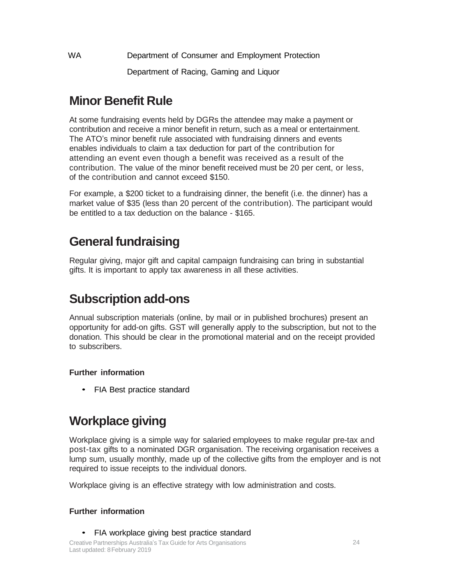WA Department of Consumer and Employment Protection Department of Racing, Gaming and Liquor

## <span id="page-23-0"></span>**Minor Benefit Rule**

At some fundraising events held by DGRs the attendee may make a payment or contribution and receive a minor benefit in return, such as a meal or entertainment. The ATO's minor benefit rule associated with fundraising dinners and events enables individuals to claim a tax deduction for part of the contribution for attending an event even though a benefit was received as a result of the contribution. The value of the minor benefit received must be 20 per cent, or less, of the contribution and cannot exceed \$150.

For example, a \$200 ticket to a fundraising dinner, the benefit (i.e. the dinner) has a market value of \$35 (less than 20 percent of the contribution). The participant would be entitled to a tax deduction on the balance - \$165.

## <span id="page-23-1"></span>**General fundraising**

Regular giving, major gift and capital campaign fundraising can bring in substantial gifts. It is important to apply tax awareness in all these activities.

## <span id="page-23-2"></span>**Subscription add-ons**

Annual subscription materials (online, by mail or in published brochures) present an opportunity for add-on gifts. GST will generally apply to the subscription, but not to the donation. This should be clear in the promotional material and on the receipt provided to subscribers.

#### **Further information**

• FIA Best practice standard

## <span id="page-23-3"></span>**Workplace giving**

Workplace giving is a simple way for salaried employees to make regular pre-tax and post-tax gifts to a nominated DGR organisation. The receiving organisation receives a lump sum, usually monthly, made up of the collective gifts from the employer and is not required to issue receipts to the individual donors.

Workplace giving is an effective strategy with low administration and costs.

#### **Further information**

• FIA workplace giving best practice standard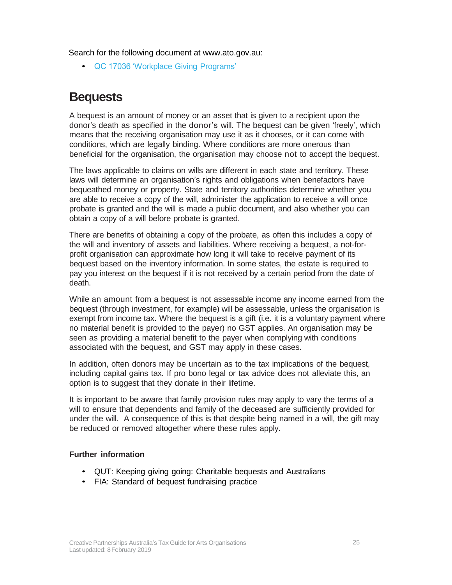Search for the following document at www.ato.gov.au:

• QC 17036 'Workplace Giving Programs'

## <span id="page-24-0"></span>**Bequests**

A bequest is an amount of money or an asset that is given to a recipient upon the donor's death as specified in the donor's will. The bequest can be given 'freely', which means that the receiving organisation may use it as it chooses, or it can come with conditions, which are legally binding. Where conditions are more onerous than beneficial for the organisation, the organisation may choose not to accept the bequest.

The laws applicable to claims on wills are different in each state and territory. These laws will determine an organisation's rights and obligations when benefactors have bequeathed money or property. State and territory authorities determine whether you are able to receive a copy of the will, administer the application to receive a will once probate is granted and the will is made a public document, and also whether you can obtain a copy of a will before probate is granted.

There are benefits of obtaining a copy of the probate, as often this includes a copy of the will and inventory of assets and liabilities. Where receiving a bequest, a not-forprofit organisation can approximate how long it will take to receive payment of its bequest based on the inventory information. In some states, the estate is required to pay you interest on the bequest if it is not received by a certain period from the date of death.

While an amount from a bequest is not assessable income any income earned from the bequest (through investment, for example) will be assessable, unless the organisation is exempt from income tax. Where the bequest is a gift (i.e. it is a voluntary payment where no material benefit is provided to the payer) no GST applies. An organisation may be seen as providing a material benefit to the payer when complying with conditions associated with the bequest, and GST may apply in these cases.

In addition, often donors may be uncertain as to the tax implications of the bequest, including capital gains tax. If pro bono legal or tax advice does not alleviate this, an option is to suggest that they donate in their lifetime.

It is important to be aware that family provision rules may apply to vary the terms of a will to ensure that dependents and family of the deceased are sufficiently provided for under the will. A consequence of this is that despite being named in a will, the gift may be reduced or removed altogether where these rules apply.

#### **Further information**

- QUT: Keeping giving going: Charitable bequests and Australians
- FIA: Standard of bequest fundraising practice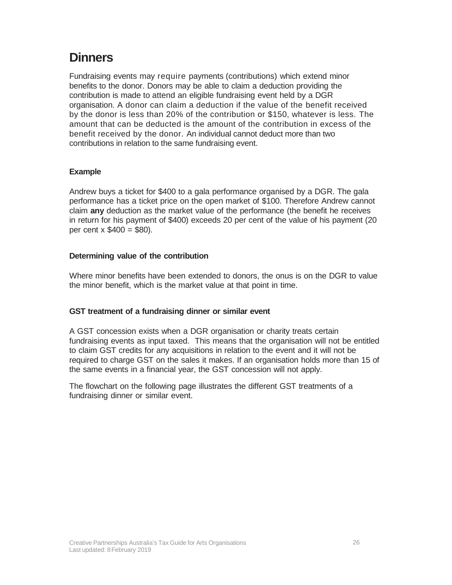## <span id="page-25-0"></span>**Dinners**

Fundraising events may require payments (contributions) which extend minor benefits to the donor. Donors may be able to claim a deduction providing the contribution is made to attend an eligible fundraising event held by a DGR organisation. A donor can claim a deduction if the value of the benefit received by the donor is less than 20% of the contribution or \$150, whatever is less. The amount that can be deducted is the amount of the contribution in excess of the benefit received by the donor. An individual cannot deduct more than two contributions in relation to the same fundraising event.

#### **Example**

Andrew buys a ticket for \$400 to a gala performance organised by a DGR. The gala performance has a ticket price on the open market of \$100. Therefore Andrew cannot claim **any** deduction as the market value of the performance (the benefit he receives in return for his payment of \$400) exceeds 20 per cent of the value of his payment (20 per cent  $x$  \$400 = \$80).

#### **Determining value of the contribution**

Where minor benefits have been extended to donors, the onus is on the DGR to value the minor benefit, which is the market value at that point in time.

#### **GST treatment of a fundraising dinner or similar event**

A GST concession exists when a DGR organisation or charity treats certain fundraising events as input taxed. This means that the organisation will not be entitled to claim GST credits for any acquisitions in relation to the event and it will not be required to charge GST on the sales it makes. If an organisation holds more than 15 of the same events in a financial year, the GST concession will not apply.

The flowchart on the following page illustrates the different GST treatments of a fundraising dinner or similar event.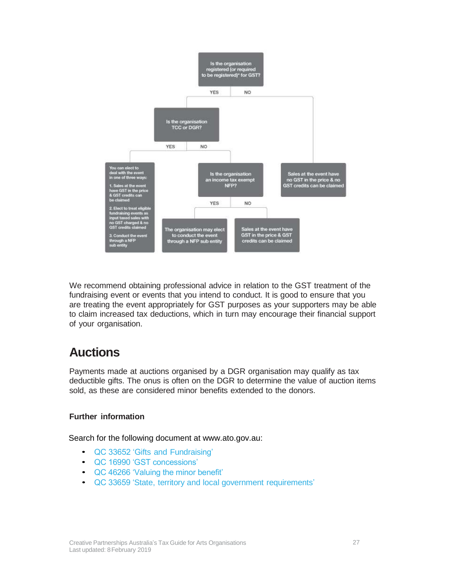

We recommend obtaining professional advice in relation to the GST treatment of the fundraising event or events that you intend to conduct. It is good to ensure that you are treating the event appropriately for GST purposes as your supporters may be able to claim increased tax deductions, which in turn may encourage their financial support of your organisation.

## <span id="page-26-0"></span>**Auctions**

Payments made at auctions organised by a DGR organisation may qualify as tax deductible gifts. The onus is often on the DGR to determine the value of auction items sold, as these are considered minor benefits extended to the donors.

#### **Further information**

Search for the following document at www.ato.gov.au:

- QC 33652 'Gifts and Fundraising'
- QC 16990 'GST concessions'
- QC 46266 'Valuing the minor benefit'
- QC 33659 'State, territory and local government requirements'